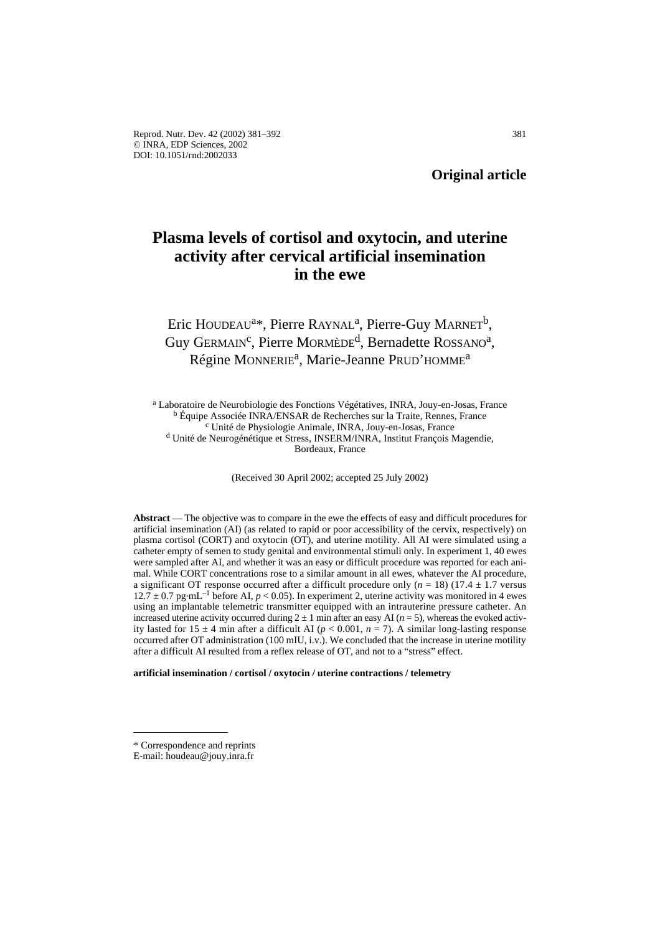Reprod. Nutr. Dev. 42 (2002) 381–392 381 © INRA, EDP Sciences, 2002 DOI: 10.1051/rnd:2002033

**Original article**

# **Plasma levels of cortisol and oxytocin, and uterine activity after cervical artificial insemination in the ewe**

# Eric HOUDEAU<sup>a\*</sup>, Pierre RAYNAL<sup>a</sup>, Pierre-Guy MARNET<sup>b</sup>, Guy GERMAIN<sup>c</sup>, Pierre MORMÈDE<sup>d</sup>, Bernadette ROSSANO<sup>a</sup>, Régine MONNERIE<sup>a</sup>, Marie-Jeanne PRUD'HOMME<sup>a</sup>

<sup>a</sup> Laboratoire de Neurobiologie des Fonctions Végétatives, INRA, Jouy-en-Josas, France  $\frac{b}{c}$ Équipe Associée INRA/ENSAR de Recherches sur la Traite, Rennes, France  $\frac{c}{c}$  Unité de Physiologie Animale, INRA, Jouy-en-Josas, France <sup>d</sup> Unité de Neurogénétique et Stress, INSERM/INRA, Institut François Magendie, Bordeaux, France

(Received 30 April 2002; accepted 25 July 2002)

**Abstract** — The objective was to compare in the ewe the effects of easy and difficult procedures for artificial insemination (AI) (as related to rapid or poor accessibility of the cervix, respectively) on plasma cortisol (CORT) and oxytocin (OT), and uterine motility. All AI were simulated using a catheter empty of semen to study genital and environmental stimuli only. In experiment 1, 40 ewes were sampled after AI, and whether it was an easy or difficult procedure was reported for each animal. While CORT concentrations rose to a similar amount in all ewes, whatever the AI procedure, a significant OT response occurred after a difficult procedure only  $(n = 18)$  (17.4  $\pm$  1.7 versus 12.7  $\pm$  0.7 pg·mL<sup>-1</sup> before AI,  $p$  < 0.05). In experiment 2, uterine activity was monitored in 4 ewes using an implantable telemetric transmitter equipped with an intrauterine pressure catheter. An increased uterine activity occurred during  $2 \pm 1$  min after an easy AI ( $n = 5$ ), whereas the evoked activity lasted for 15  $\pm$  4 min after a difficult AI ( $p < 0.001$ ,  $n = 7$ ). A similar long-lasting response occurred after OT administration (100 mIU, i.v.). We concluded that the increase in uterine motility after a difficult AI resulted from a reflex release of OT, and not to a "stress" effect.

**artificial insemination / cortisol / oxytocin / uterine contractions / telemetry**

<sup>\*</sup> Correspondence and reprints

E-mail: houdeau@jouy.inra.fr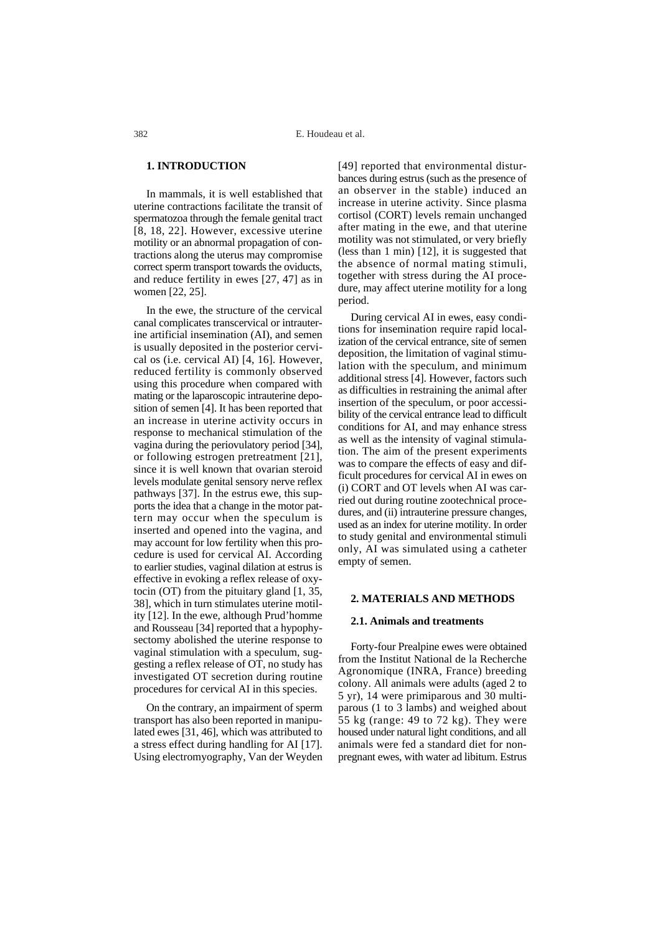# **1. INTRODUCTION**

In mammals, it is well established that uterine contractions facilitate the transit of spermatozoa through the female genital tract [8, 18, 22]. However, excessive uterine motility or an abnormal propagation of contractions along the uterus may compromise correct sperm transport towards the oviducts, and reduce fertility in ewes [27, 47] as in women [22, 25].

In the ewe, the structure of the cervical canal complicates transcervical or intrauterine artificial insemination (AI), and semen is usually deposited in the posterior cervical os (i.e. cervical AI) [4, 16]. However, reduced fertility is commonly observed using this procedure when compared with mating or the laparoscopic intrauterine deposition of semen [4]. It has been reported that an increase in uterine activity occurs in response to mechanical stimulation of the vagina during the periovulatory period [34], or following estrogen pretreatment [21], since it is well known that ovarian steroid levels modulate genital sensory nerve reflex pathways [37]. In the estrus ewe, this supports the idea that a change in the motor pattern may occur when the speculum is inserted and opened into the vagina, and may account for low fertility when this procedure is used for cervical AI. According to earlier studies, vaginal dilation at estrus is effective in evoking a reflex release of oxytocin (OT) from the pituitary gland [1, 35, 38], which in turn stimulates uterine motility [12]. In the ewe, although Prud'homme and Rousseau [34] reported that a hypophysectomy abolished the uterine response to vaginal stimulation with a speculum, suggesting a reflex release of OT, no study has investigated OT secretion during routine procedures for cervical AI in this species.

On the contrary, an impairment of sperm transport has also been reported in manipulated ewes [31, 46], which was attributed to a stress effect during handling for AI [17]. Using electromyography, Van der Weyden [49] reported that environmental disturbances during estrus (such as the presence of an observer in the stable) induced an increase in uterine activity. Since plasma cortisol (CORT) levels remain unchanged after mating in the ewe, and that uterine motility was not stimulated, or very briefly (less than 1 min) [12], it is suggested that the absence of normal mating stimuli, together with stress during the AI procedure, may affect uterine motility for a long period.

During cervical AI in ewes, easy conditions for insemination require rapid localization of the cervical entrance, site of semen deposition, the limitation of vaginal stimulation with the speculum, and minimum additional stress [4]. However, factors such as difficulties in restraining the animal after insertion of the speculum, or poor accessibility of the cervical entrance lead to difficult conditions for AI, and may enhance stress as well as the intensity of vaginal stimulation. The aim of the present experiments was to compare the effects of easy and difficult procedures for cervical AI in ewes on (i) CORT and OT levels when AI was carried out during routine zootechnical procedures, and (ii) intrauterine pressure changes, used as an index for uterine motility. In order to study genital and environmental stimuli only, AI was simulated using a catheter empty of semen.

# **2. MATERIALS AND METHODS**

#### **2.1. Animals and treatments**

Forty-four Prealpine ewes were obtained from the Institut National de la Recherche Agronomique (INRA, France) breeding colony. All animals were adults (aged 2 to 5 yr), 14 were primiparous and 30 multiparous (1 to 3 lambs) and weighed about 55 kg (range: 49 to 72 kg). They were housed under natural light conditions, and all animals were fed a standard diet for nonpregnant ewes, with water ad libitum. Estrus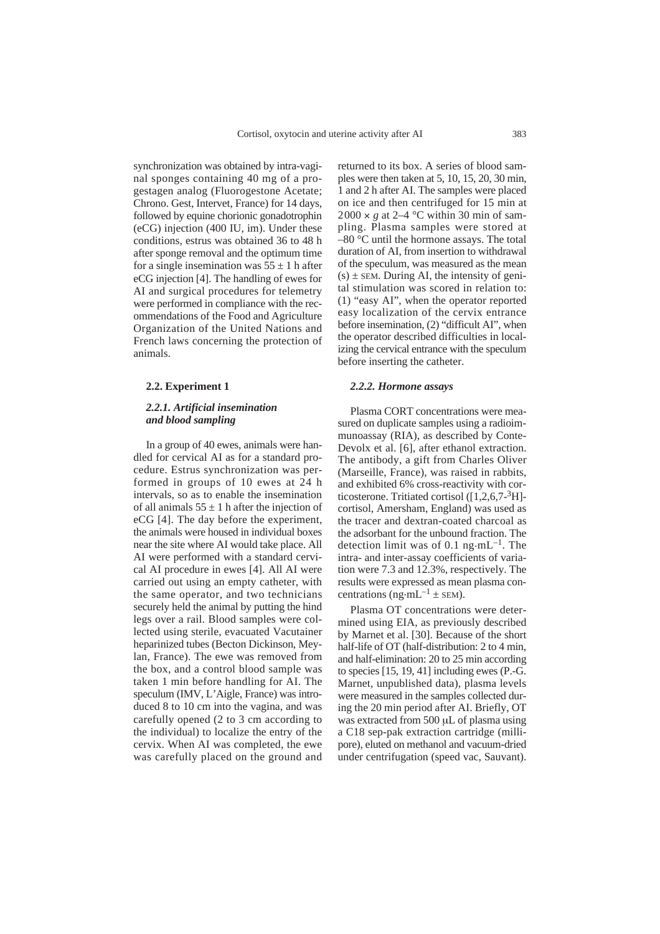synchronization was obtained by intra-vaginal sponges containing 40 mg of a progestagen analog (Fluorogestone Acetate; Chrono. Gest, Intervet, France) for 14 days, followed by equine chorionic gonadotrophin (eCG) injection (400 IU, im). Under these conditions, estrus was obtained 36 to 48 h after sponge removal and the optimum time for a single insemination was  $55 \pm 1$  h after eCG injection [4]. The handling of ewes for AI and surgical procedures for telemetry were performed in compliance with the recommendations of the Food and Agriculture Organization of the United Nations and French laws concerning the protection of animals.

#### **2.2. Experiment 1**

# *2.2.1. Artificial insemination and blood sampling*

In a group of 40 ewes, animals were handled for cervical AI as for a standard procedure. Estrus synchronization was performed in groups of 10 ewes at 24 h intervals, so as to enable the insemination of all animals  $55 \pm 1$  h after the injection of eCG [4]. The day before the experiment, the animals were housed in individual boxes near the site where AI would take place. All AI were performed with a standard cervical AI procedure in ewes [4]. All AI were carried out using an empty catheter, with the same operator, and two technicians securely held the animal by putting the hind legs over a rail. Blood samples were collected using sterile, evacuated Vacutainer heparinized tubes (Becton Dickinson, Meylan, France). The ewe was removed from the box, and a control blood sample was taken 1 min before handling for AI. The speculum (IMV, L'Aigle, France) was introduced 8 to 10 cm into the vagina, and was carefully opened (2 to 3 cm according to the individual) to localize the entry of the cervix. When AI was completed, the ewe was carefully placed on the ground and returned to its box. A series of blood samples were then taken at 5, 10, 15, 20, 30 min, 1 and 2 h after AI. The samples were placed on ice and then centrifuged for 15 min at  $2000 \times g$  at 2–4 °C within 30 min of sampling. Plasma samples were stored at  $-80$  °C until the hormone assays. The total duration of AI, from insertion to withdrawal of the speculum, was measured as the mean  $(s)$  ± SEM. During AI, the intensity of genital stimulation was scored in relation to: (1) "easy AI", when the operator reported easy localization of the cervix entrance before insemination, (2) "difficult AI", when the operator described difficulties in localizing the cervical entrance with the speculum before inserting the catheter.

## *2.2.2. Hormone assays*

Plasma CORT concentrations were measured on duplicate samples using a radioimmunoassay (RIA), as described by Conte-Devolx et al. [6], after ethanol extraction. The antibody, a gift from Charles Oliver (Marseille, France), was raised in rabbits, and exhibited 6% cross-reactivity with corticosterone. Tritiated cortisol  $([1,2,6,7^{-3}H]$ cortisol, Amersham, England) was used as the tracer and dextran-coated charcoal as the adsorbant for the unbound fraction. The detection limit was of 0.1 ng $\cdot$ mL<sup>-1</sup>. The intra- and inter-assay coefficients of variation were 7.3 and 12.3%, respectively. The results were expressed as mean plasma concentrations (ng $\cdot$ mL<sup>-1</sup> ± SEM).

Plasma OT concentrations were determined using EIA, as previously described by Marnet et al. [30]. Because of the short half-life of OT (half-distribution: 2 to 4 min, and half-elimination: 20 to 25 min according to species [15, 19, 41] including ewes (P.-G. Marnet, unpublished data), plasma levels were measured in the samples collected during the 20 min period after AI. Briefly, OT was extracted from 500 µL of plasma using a C18 sep-pak extraction cartridge (millipore), eluted on methanol and vacuum-dried under centrifugation (speed vac, Sauvant).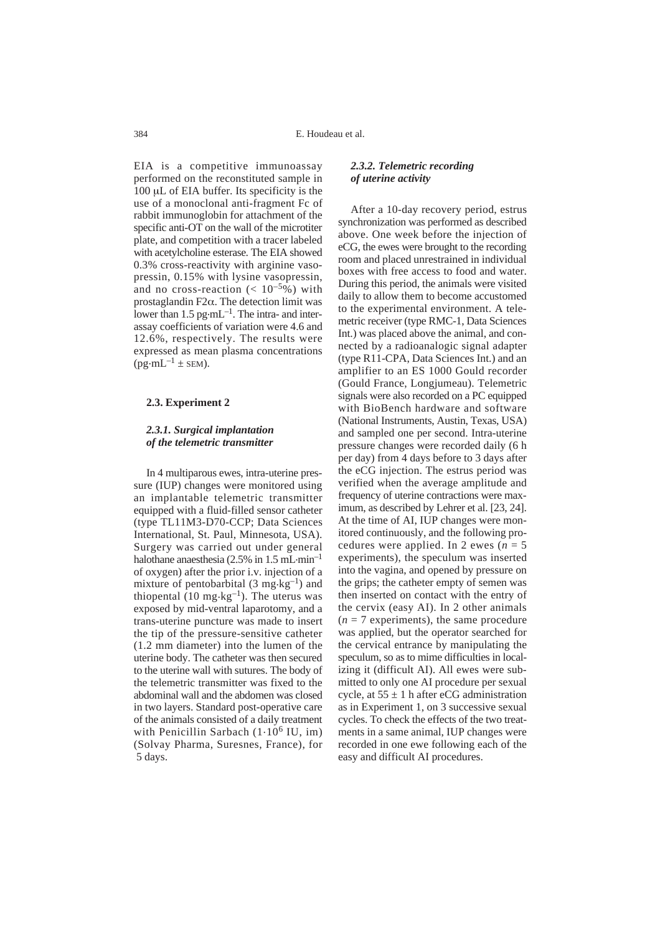EIA is a competitive immunoassay performed on the reconstituted sample in 100 µL of EIA buffer. Its specificity is the use of a monoclonal anti-fragment Fc of rabbit immunoglobin for attachment of the specific anti-OT on the wall of the microtiter plate, and competition with a tracer labeled with acetylcholine esterase. The EIA showed 0.3% cross-reactivity with arginine vasopressin, 0.15% with lysine vasopressin, and no cross-reaction  $(< 10^{-5}\%)$  with prostaglandin  $F2\alpha$ . The detection limit was lower than  $1.5$  pg $\cdot$ mL<sup>-1</sup>. The intra- and interassay coefficients of variation were 4.6 and 12.6%, respectively. The results were expressed as mean plasma concentrations  $(pg\cdot mL^{-1} \pm SEM)$ .

## **2.3. Experiment 2**

# *2.3.1. Surgical implantation of the telemetric transmitter*

In 4 multiparous ewes, intra-uterine pressure (IUP) changes were monitored using an implantable telemetric transmitter equipped with a fluid-filled sensor catheter (type TL11M3-D70-CCP; Data Sciences International, St. Paul, Minnesota, USA). Surgery was carried out under general halothane anaesthesia  $(2.5\% \text{ in } 1.5 \text{ mL-min}^{-1}$ of oxygen) after the prior i.v. injection of a mixture of pentobarbital  $(3 \text{ mg} \cdot \text{kg}^{-1})$  and thiopental  $(10 \text{ mg} \cdot \text{kg}^{-1})$ . The uterus was exposed by mid-ventral laparotomy, and a trans-uterine puncture was made to insert the tip of the pressure-sensitive catheter (1.2 mm diameter) into the lumen of the uterine body. The catheter was then secured to the uterine wall with sutures. The body of the telemetric transmitter was fixed to the abdominal wall and the abdomen was closed in two layers. Standard post-operative care of the animals consisted of a daily treatment with Penicillin Sarbach  $(1.10^6 \text{ IU}, \text{ im})$ (Solvay Pharma, Suresnes, France), for 5 days.

# *2.3.2. Telemetric recording of uterine activity*

After a 10-day recovery period, estrus synchronization was performed as described above. One week before the injection of eCG, the ewes were brought to the recording room and placed unrestrained in individual boxes with free access to food and water. During this period, the animals were visited daily to allow them to become accustomed to the experimental environment. A telemetric receiver (type RMC-1, Data Sciences Int.) was placed above the animal, and connected by a radioanalogic signal adapter (type R11-CPA, Data Sciences Int.) and an amplifier to an ES 1000 Gould recorder (Gould France, Longjumeau). Telemetric signals were also recorded on a PC equipped with BioBench hardware and software (National Instruments, Austin, Texas, USA) and sampled one per second. Intra-uterine pressure changes were recorded daily (6 h per day) from 4 days before to 3 days after the eCG injection. The estrus period was verified when the average amplitude and frequency of uterine contractions were maximum, as described by Lehrer et al. [23, 24]. At the time of AI, IUP changes were monitored continuously, and the following procedures were applied. In 2 ewes  $(n = 5)$ experiments), the speculum was inserted into the vagina, and opened by pressure on the grips; the catheter empty of semen was then inserted on contact with the entry of the cervix (easy AI). In 2 other animals  $(n = 7$  experiments), the same procedure was applied, but the operator searched for the cervical entrance by manipulating the speculum, so as to mime difficulties in localizing it (difficult AI). All ewes were submitted to only one AI procedure per sexual cycle, at  $55 \pm 1$  h after eCG administration as in Experiment 1, on 3 successive sexual cycles. To check the effects of the two treatments in a same animal, IUP changes were recorded in one ewe following each of the easy and difficult AI procedures.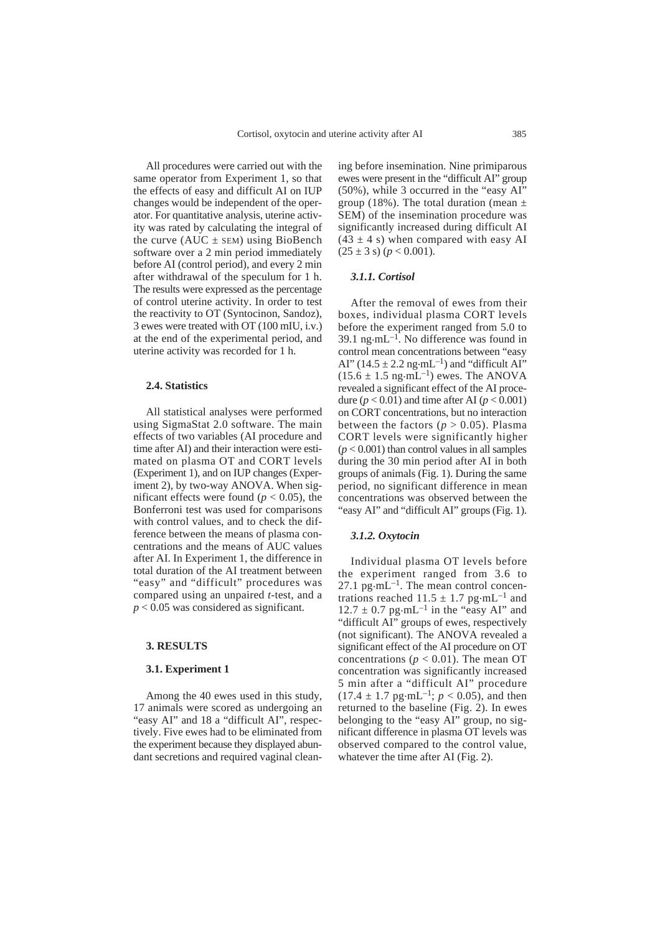All procedures were carried out with the same operator from Experiment 1, so that the effects of easy and difficult AI on IUP changes would be independent of the operator. For quantitative analysis, uterine activity was rated by calculating the integral of the curve  $(AUC \pm SEM)$  using BioBench software over a 2 min period immediately before AI (control period), and every 2 min after withdrawal of the speculum for 1 h. The results were expressed as the percentage of control uterine activity. In order to test the reactivity to OT (Syntocinon, Sandoz), 3 ewes were treated with OT (100 mIU, i.v.) at the end of the experimental period, and uterine activity was recorded for 1 h.

### **2.4. Statistics**

All statistical analyses were performed using SigmaStat 2.0 software. The main effects of two variables (AI procedure and time after AI) and their interaction were estimated on plasma OT and CORT levels (Experiment 1), and on IUP changes (Experiment 2), by two-way ANOVA. When significant effects were found ( $p < 0.05$ ), the Bonferroni test was used for comparisons with control values, and to check the difference between the means of plasma concentrations and the means of AUC values after AI. In Experiment 1, the difference in total duration of the AI treatment between "easy" and "difficult" procedures was compared using an unpaired *t*-test, and a *p* < 0.05 was considered as significant.

#### **3. RESULTS**

#### **3.1. Experiment 1**

Among the 40 ewes used in this study, 17 animals were scored as undergoing an "easy AI" and 18 a "difficult AI", respectively. Five ewes had to be eliminated from the experiment because they displayed abundant secretions and required vaginal clean-

ing before insemination. Nine primiparous ewes were present in the "difficult AI" group (50%), while 3 occurred in the "easy AI" group (18%). The total duration (mean  $\pm$ SEM) of the insemination procedure was significantly increased during difficult AI  $(43 \pm 4 \text{ s})$  when compared with easy AI  $(25 \pm 3 \text{ s}) (p < 0.001)$ .

## *3.1.1. Cortisol*

After the removal of ewes from their boxes, individual plasma CORT levels before the experiment ranged from 5.0 to 39.1 ng $\cdot$ mL<sup>-1</sup>. No difference was found in control mean concentrations between "easy AI" (14.5  $\pm$  2.2 ng·mL<sup>-1</sup>) and "difficult AI"  $(15.6 \pm 1.5 \text{ ng} \cdot \text{mL}^{-1})$  ewes. The ANOVA revealed a significant effect of the AI procedure  $(p < 0.01)$  and time after AI  $(p < 0.001)$ on CORT concentrations, but no interaction between the factors ( $p > 0.05$ ). Plasma CORT levels were significantly higher  $(p < 0.001)$  than control values in all samples during the 30 min period after AI in both groups of animals (Fig. 1). During the same period, no significant difference in mean concentrations was observed between the "easy AI" and "difficult AI" groups (Fig. 1).

## *3.1.2. Oxytocin*

Individual plasma OT levels before the experiment ranged from 3.6 to 27.1 pg $\cdot$ mL<sup>-1</sup>. The mean control concentrations reached 11.5  $\pm$  1.7 pg·mL<sup>-1</sup> and  $12.7 \pm 0.7$  pg $\cdot$ mL<sup>-1</sup> in the "easy AI" and "difficult AI" groups of ewes, respectively (not significant). The ANOVA revealed a significant effect of the AI procedure on OT concentrations ( $p < 0.01$ ). The mean OT concentration was significantly increased 5 min after a "difficult AI" procedure  $(17.4 \pm 1.7 \text{ pg} \cdot \text{mL}^{-1}; p < 0.05)$ , and then returned to the baseline (Fig. 2). In ewes belonging to the "easy AI" group, no significant difference in plasma OT levels was observed compared to the control value, whatever the time after AI (Fig. 2).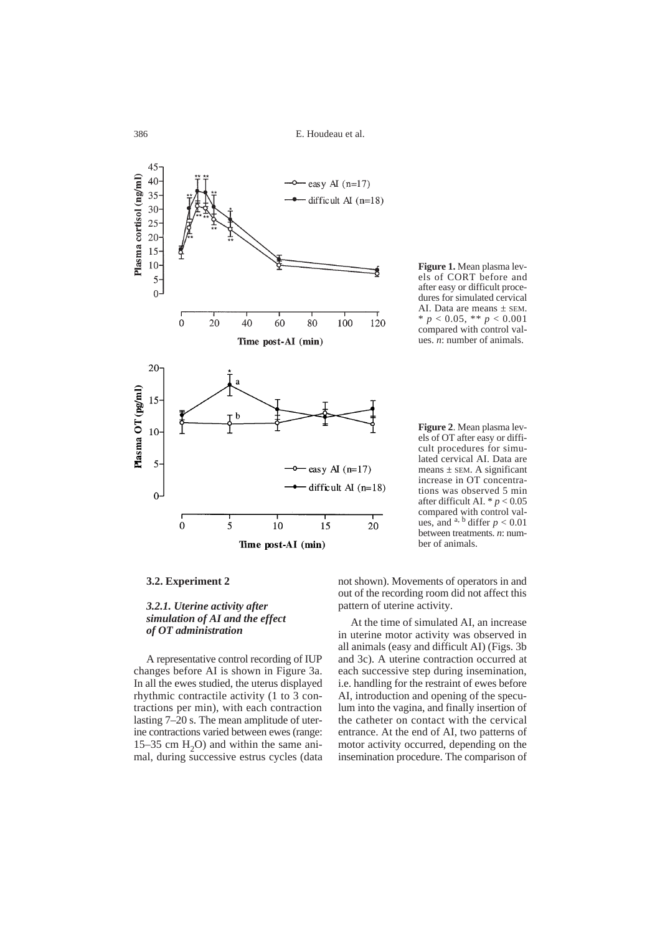

**Figure 1.** Mean plasma levels of CORT before and after easy or difficult procedures for simulated cervical AI. Data are means ± SEM. \* *p* < 0.05, \*\* *p* < 0.001 compared with control values. *n*: number of animals.

**Figure 2**. Mean plasma levels of OT after easy or difficult procedures for simulated cervical AI. Data are means  $\pm$  SEM. A significant increase in OT concentrations was observed 5 min after difficult AI. \* *p* < 0.05 compared with control values, and  $a, b$  differ  $p < 0.01$ between treatments. *n*: number of animals.

### **3.2. Experiment 2**

# *3.2.1. Uterine activity after simulation of AI and the effect of OT administration*

A representative control recording of IUP changes before AI is shown in Figure 3a. In all the ewes studied, the uterus displayed rhythmic contractile activity (1 to 3 contractions per min), with each contraction lasting 7–20 s. The mean amplitude of uterine contractions varied between ewes (range: 15–35 cm  $H<sub>2</sub>O$  and within the same animal, during successive estrus cycles (data not shown). Movements of operators in and out of the recording room did not affect this pattern of uterine activity.

At the time of simulated AI, an increase in uterine motor activity was observed in all animals (easy and difficult AI) (Figs. 3b and 3c). A uterine contraction occurred at each successive step during insemination, i.e. handling for the restraint of ewes before AI, introduction and opening of the speculum into the vagina, and finally insertion of the catheter on contact with the cervical entrance. At the end of AI, two patterns of motor activity occurred, depending on the insemination procedure. The comparison of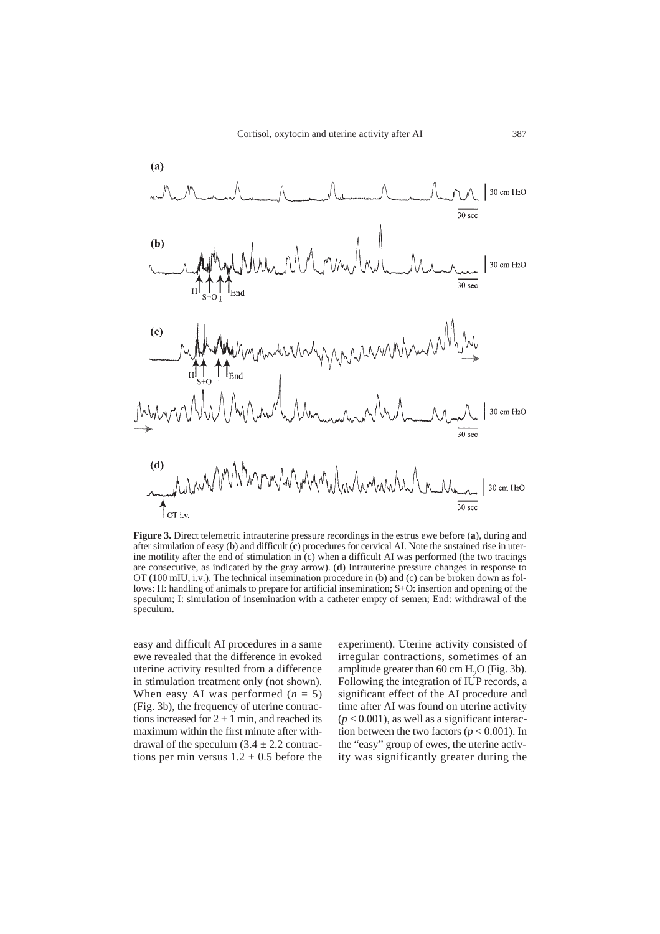

**Figure 3.** Direct telemetric intrauterine pressure recordings in the estrus ewe before (**a**), during and after simulation of easy (**b**) and difficult (**c**) procedures for cervical AI. Note the sustained rise in uterine motility after the end of stimulation in (c) when a difficult AI was performed (the two tracings are consecutive, as indicated by the gray arrow). (**d**) Intrauterine pressure changes in response to OT (100 mIU, i.v.). The technical insemination procedure in (b) and (c) can be broken down as follows: H: handling of animals to prepare for artificial insemination; S+O: insertion and opening of the speculum; I: simulation of insemination with a catheter empty of semen; End: withdrawal of the speculum.

easy and difficult AI procedures in a same ewe revealed that the difference in evoked uterine activity resulted from a difference in stimulation treatment only (not shown). When easy AI was performed  $(n = 5)$ (Fig. 3b), the frequency of uterine contractions increased for  $2 \pm 1$  min, and reached its maximum within the first minute after withdrawal of the speculum  $(3.4 \pm 2.2 \text{ contrast})$ tions per min versus  $1.2 \pm 0.5$  before the experiment). Uterine activity consisted of irregular contractions, sometimes of an amplitude greater than  $60 \text{ cm H}_2\text{O}$  (Fig. 3b). Following the integration of IUP records, a significant effect of the AI procedure and time after AI was found on uterine activity  $(p < 0.001)$ , as well as a significant interaction between the two factors ( $p < 0.001$ ). In the "easy" group of ewes, the uterine activity was significantly greater during the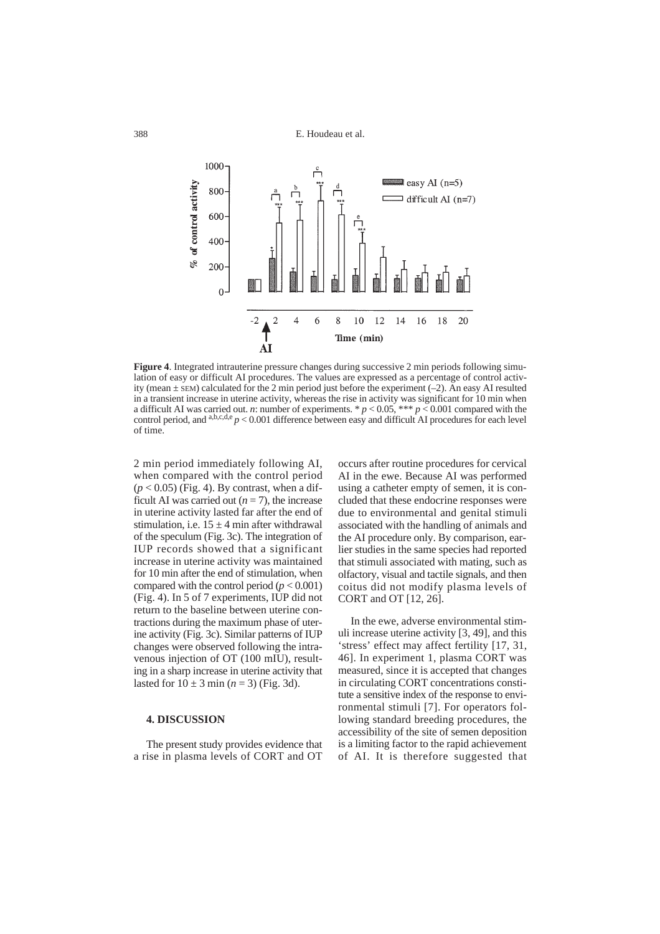#### E. Houdeau et al.



**Figure 4**. Integrated intrauterine pressure changes during successive 2 min periods following simulation of easy or difficult AI procedures. The values are expressed as a percentage of control activity (mean  $\pm$  SEM) calculated for the 2 min period just before the experiment (-2). An easy AI resulted in a transient increase in uterine activity, whereas the rise in activity was significant for 10 min when a difficult AI was carried out. *n*: number of experiments. \* *p* < 0.05, \*\*\* *p* < 0.001 compared with the control period, and a,b,c,d,e  $p < 0.001$  difference between easy and difficult AI procedures for each level of time.

2 min period immediately following AI, when compared with the control period  $(p < 0.05)$  (Fig. 4). By contrast, when a difficult AI was carried out  $(n = 7)$ , the increase in uterine activity lasted far after the end of stimulation, i.e.  $15 \pm 4$  min after withdrawal of the speculum (Fig. 3c). The integration of IUP records showed that a significant increase in uterine activity was maintained for 10 min after the end of stimulation, when compared with the control period  $(p < 0.001)$ (Fig. 4). In 5 of 7 experiments, IUP did not return to the baseline between uterine contractions during the maximum phase of uterine activity (Fig. 3c). Similar patterns of IUP changes were observed following the intravenous injection of OT (100 mIU), resulting in a sharp increase in uterine activity that lasted for  $10 \pm 3$  min ( $n = 3$ ) (Fig. 3d).

## **4. DISCUSSION**

The present study provides evidence that a rise in plasma levels of CORT and OT occurs after routine procedures for cervical AI in the ewe. Because AI was performed using a catheter empty of semen, it is concluded that these endocrine responses were due to environmental and genital stimuli associated with the handling of animals and the AI procedure only. By comparison, earlier studies in the same species had reported that stimuli associated with mating, such as olfactory, visual and tactile signals, and then coitus did not modify plasma levels of CORT and OT [12, 26].

In the ewe, adverse environmental stimuli increase uterine activity [3, 49], and this 'stress' effect may affect fertility [17, 31, 46]. In experiment 1, plasma CORT was measured, since it is accepted that changes in circulating CORT concentrations constitute a sensitive index of the response to environmental stimuli [7]. For operators following standard breeding procedures, the accessibility of the site of semen deposition is a limiting factor to the rapid achievement of AI. It is therefore suggested that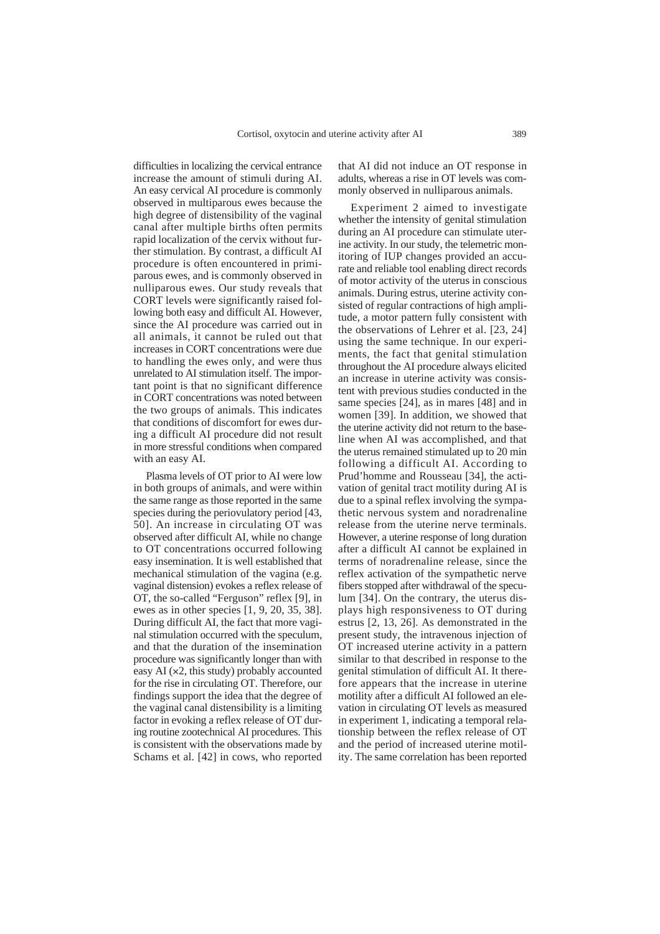difficulties in localizing the cervical entrance increase the amount of stimuli during AI. An easy cervical AI procedure is commonly observed in multiparous ewes because the high degree of distensibility of the vaginal canal after multiple births often permits rapid localization of the cervix without further stimulation. By contrast, a difficult AI procedure is often encountered in primiparous ewes, and is commonly observed in nulliparous ewes. Our study reveals that CORT levels were significantly raised following both easy and difficult AI. However, since the AI procedure was carried out in all animals, it cannot be ruled out that increases in CORT concentrations were due to handling the ewes only, and were thus unrelated to AI stimulation itself. The important point is that no significant difference in CORT concentrations was noted between the two groups of animals. This indicates that conditions of discomfort for ewes during a difficult AI procedure did not result in more stressful conditions when compared with an easy AI.

Plasma levels of OT prior to AI were low in both groups of animals, and were within the same range as those reported in the same species during the periovulatory period [43, 50]. An increase in circulating OT was observed after difficult AI, while no change to OT concentrations occurred following easy insemination. It is well established that mechanical stimulation of the vagina (e.g. vaginal distension) evokes a reflex release of OT, the so-called "Ferguson" reflex [9], in ewes as in other species [1, 9, 20, 35, 38]. During difficult AI, the fact that more vaginal stimulation occurred with the speculum, and that the duration of the insemination procedure was significantly longer than with easy AI  $(x2,$  this study) probably accounted for the rise in circulating OT. Therefore, our findings support the idea that the degree of the vaginal canal distensibility is a limiting factor in evoking a reflex release of OT during routine zootechnical AI procedures. This is consistent with the observations made by Schams et al. [42] in cows, who reported

that AI did not induce an OT response in adults, whereas a rise in OT levels was commonly observed in nulliparous animals.

Experiment 2 aimed to investigate whether the intensity of genital stimulation during an AI procedure can stimulate uterine activity. In our study, the telemetric monitoring of IUP changes provided an accurate and reliable tool enabling direct records of motor activity of the uterus in conscious animals. During estrus, uterine activity consisted of regular contractions of high amplitude, a motor pattern fully consistent with the observations of Lehrer et al. [23, 24] using the same technique. In our experiments, the fact that genital stimulation throughout the AI procedure always elicited an increase in uterine activity was consistent with previous studies conducted in the same species [24], as in mares [48] and in women [39]. In addition, we showed that the uterine activity did not return to the baseline when AI was accomplished, and that the uterus remained stimulated up to 20 min following a difficult AI. According to Prud'homme and Rousseau [34], the activation of genital tract motility during AI is due to a spinal reflex involving the sympathetic nervous system and noradrenaline release from the uterine nerve terminals. However, a uterine response of long duration after a difficult AI cannot be explained in terms of noradrenaline release, since the reflex activation of the sympathetic nerve fibers stopped after withdrawal of the speculum [34]. On the contrary, the uterus displays high responsiveness to OT during estrus [2, 13, 26]. As demonstrated in the present study, the intravenous injection of OT increased uterine activity in a pattern similar to that described in response to the genital stimulation of difficult AI. It therefore appears that the increase in uterine motility after a difficult AI followed an elevation in circulating OT levels as measured in experiment 1, indicating a temporal relationship between the reflex release of OT and the period of increased uterine motility. The same correlation has been reported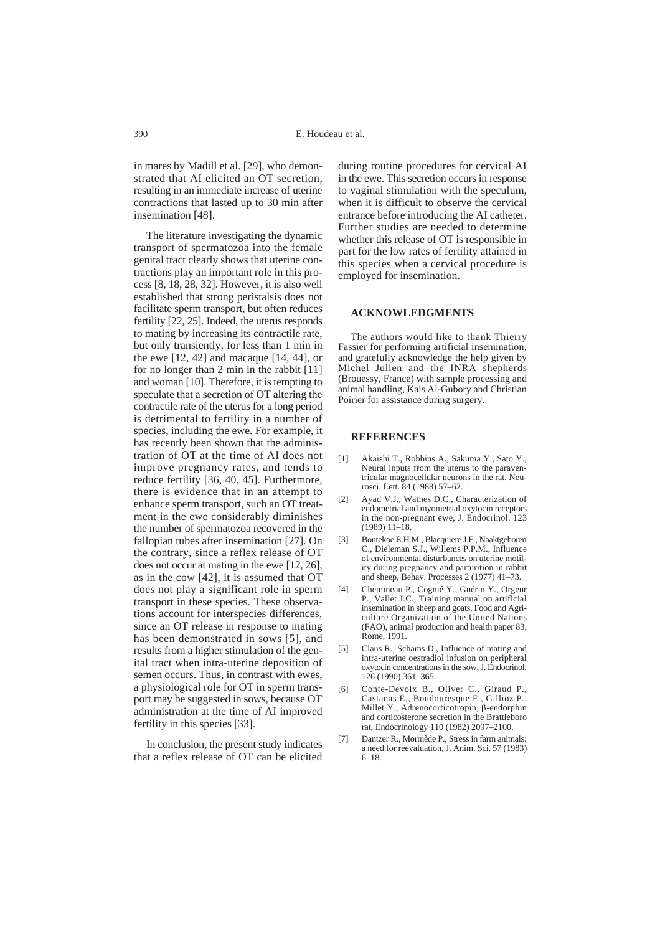in mares by Madill et al. [29], who demonstrated that AI elicited an OT secretion, resulting in an immediate increase of uterine contractions that lasted up to 30 min after insemination [48].

The literature investigating the dynamic transport of spermatozoa into the female genital tract clearly shows that uterine contractions play an important role in this process [8, 18, 28, 32]. However, it is also well established that strong peristalsis does not facilitate sperm transport, but often reduces fertility [22, 25]. Indeed, the uterus responds to mating by increasing its contractile rate, but only transiently, for less than 1 min in the ewe [12, 42] and macaque [14, 44], or for no longer than 2 min in the rabbit [11] and woman [10]. Therefore, it is tempting to speculate that a secretion of OT altering the contractile rate of the uterus for a long period is detrimental to fertility in a number of species, including the ewe. For example, it has recently been shown that the administration of OT at the time of AI does not improve pregnancy rates, and tends to reduce fertility [36, 40, 45]. Furthermore, there is evidence that in an attempt to enhance sperm transport, such an OT treatment in the ewe considerably diminishes the number of spermatozoa recovered in the fallopian tubes after insemination [27]. On the contrary, since a reflex release of OT does not occur at mating in the ewe [12, 26], as in the cow [42], it is assumed that OT does not play a significant role in sperm transport in these species. These observations account for interspecies differences, since an OT release in response to mating has been demonstrated in sows [5], and results from a higher stimulation of the genital tract when intra-uterine deposition of semen occurs. Thus, in contrast with ewes, a physiological role for OT in sperm transport may be suggested in sows, because OT administration at the time of AI improved fertility in this species [33].

In conclusion, the present study indicates that a reflex release of OT can be elicited during routine procedures for cervical AI in the ewe. This secretion occurs in response to vaginal stimulation with the speculum, when it is difficult to observe the cervical entrance before introducing the AI catheter. Further studies are needed to determine whether this release of OT is responsible in part for the low rates of fertility attained in this species when a cervical procedure is employed for insemination.

#### **ACKNOWLEDGMENTS**

The authors would like to thank Thierry Fassier for performing artificial insemination, and gratefully acknowledge the help given by Michel Julien and the INRA shepherds (Brouessy, France) with sample processing and animal handling, Kais Al-Gubory and Christian Poirier for assistance during surgery.

#### **REFERENCES**

- [1] Akaishi T., Robbins A., Sakuma Y., Sato Y., Neural inputs from the uterus to the paraventricular magnocellular neurons in the rat, Neurosci. Lett. 84 (1988) 57–62.
- [2] Avad V.J., Wathes D.C., Characterization of endometrial and myometrial oxytocin receptors in the non-pregnant ewe, J. Endocrinol. 123 (1989) 11–18.
- [3] Bontekoe E.H.M., Blacquiere J.F., Naaktgeboren C., Dieleman S.J., Willems P.P.M., Influence of environmental disturbances on uterine motility during pregnancy and parturition in rabbit and sheep, Behav. Processes 2 (1977) 41–73.
- [4] Chemineau P., Cognié Y., Guérin Y., Orgeur P., Vallet J.C., Training manual on artificial insemination in sheep and goats, Food and Agriculture Organization of the United Nations (FAO), animal production and health paper 83, Rome, 1991.
- [5] Claus R., Schams D., Influence of mating and intra-uterine oestradiol infusion on peripheral oxytocin concentrations in the sow, J. Endocrinol. 126 (1990) 361–365.
- [6] Conte-Devolx B., Oliver C., Giraud P., Castanas E., Boudouresque F., Gillioz P., Millet Y., Adrenocorticotropin,  $\beta$ -endorphin and corticosterone secretion in the Brattleboro rat, Endocrinology 110 (1982) 2097–2100.
- [7] Dantzer R., Mormède P., Stress in farm animals: a need for reevaluation, J. Anim. Sci. 57 (1983) 6–18.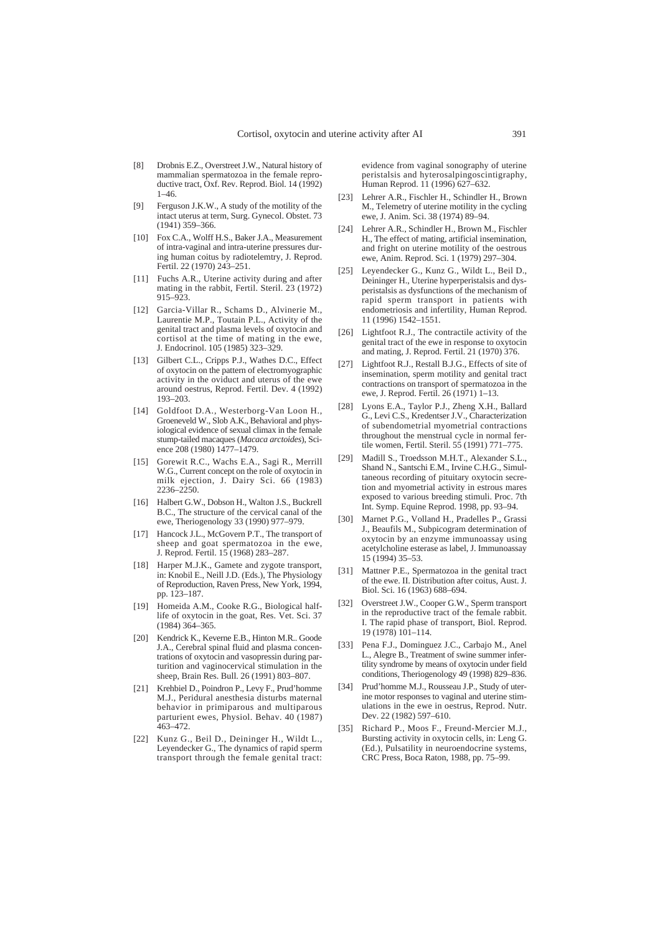- [8] Drobnis E.Z., Overstreet J.W., Natural history of mammalian spermatozoa in the female reproductive tract, Oxf. Rev. Reprod. Biol. 14 (1992) 1–46.
- [9] Ferguson J.K.W., A study of the motility of the intact uterus at term, Surg. Gynecol. Obstet. 73 (1941) 359–366.
- [10] Fox C.A., Wolff H.S., Baker J.A., Measurement of intra-vaginal and intra-uterine pressures during human coitus by radiotelemtry, J. Reprod. Fertil. 22 (1970) 243–251.
- [11] Fuchs A.R., Uterine activity during and after mating in the rabbit, Fertil. Steril. 23 (1972) 915–923.
- [12] Garcia-Villar R., Schams D., Alvinerie M., Laurentie M.P., Toutain P.L., Activity of the genital tract and plasma levels of oxytocin and cortisol at the time of mating in the ewe, J. Endocrinol. 105 (1985) 323–329.
- [13] Gilbert C.L., Cripps P.J., Wathes D.C., Effect of oxytocin on the pattern of electromyographic activity in the oviduct and uterus of the ewe around oestrus, Reprod. Fertil. Dev. 4 (1992) 193–203.
- [14] Goldfoot D.A., Westerborg-Van Loon H., Groeneveld W., Slob A.K., Behavioral and physiological evidence of sexual climax in the female stump-tailed macaques (*Macaca arctoides*), Science 208 (1980) 1477–1479.
- [15] Gorewit R.C., Wachs E.A., Sagi R., Merrill W.G., Current concept on the role of oxytocin in milk ejection, J. Dairy Sci. 66 (1983) 2236–2250.
- [16] Halbert G.W., Dobson H., Walton J.S., Buckrell B.C., The structure of the cervical canal of the ewe, Theriogenology 33 (1990) 977–979.
- [17] Hancock J.L., McGovern P.T., The transport of sheep and goat spermatozoa in the ewe, J. Reprod. Fertil. 15 (1968) 283–287.
- [18] Harper M.J.K., Gamete and zygote transport, in: Knobil E., Neill J.D. (Eds.), The Physiology of Reproduction, Raven Press, New York, 1994, pp. 123–187.
- [19] Homeida A.M., Cooke R.G., Biological halflife of oxytocin in the goat, Res. Vet. Sci. 37 (1984) 364–365.
- [20] Kendrick K., Keverne E.B., Hinton M.R.. Goode J.A., Cerebral spinal fluid and plasma concentrations of oxytocin and vasopressin during parturition and vaginocervical stimulation in the sheep, Brain Res. Bull. 26 (1991) 803–807.
- [21] Krehbiel D., Poindron P., Levy F., Prud'homme M.J., Peridural anesthesia disturbs maternal behavior in primiparous and multiparous parturient ewes, Physiol. Behav. 40 (1987) 463–472.
- [22] Kunz G., Beil D., Deininger H., Wildt L., Leyendecker G., The dynamics of rapid sperm transport through the female genital tract:

evidence from vaginal sonography of uterine peristalsis and hyterosalpingoscintigraphy, Human Reprod. 11 (1996) 627–632.

- [23] Lehrer A.R., Fischler H., Schindler H., Brown M., Telemetry of uterine motility in the cycling ewe, J. Anim. Sci. 38 (1974) 89–94.
- [24] Lehrer A.R., Schindler H., Brown M., Fischler H., The effect of mating, artificial insemination, and fright on uterine motility of the oestrous ewe, Anim. Reprod. Sci. 1 (1979) 297–304.
- [25] Leyendecker G., Kunz G., Wildt L., Beil D., Deininger H., Uterine hyperperistalsis and dysperistalsis as dysfunctions of the mechanism of rapid sperm transport in patients with endometriosis and infertility, Human Reprod. 11 (1996) 1542–1551.
- [26] Lightfoot R.J., The contractile activity of the genital tract of the ewe in response to oxytocin and mating, J. Reprod. Fertil. 21 (1970) 376.
- [27] Lightfoot R.J., Restall B.J.G., Effects of site of insemination, sperm motility and genital tract contractions on transport of spermatozoa in the ewe, J. Reprod. Fertil. 26 (1971) 1–13.
- [28] Lyons E.A., Taylor P.J., Zheng X.H., Ballard G., Levi C.S., Kredentser J.V., Characterization of subendometrial myometrial contractions throughout the menstrual cycle in normal fertile women, Fertil. Steril. 55 (1991) 771–775.
- [29] Madill S., Troedsson M.H.T., Alexander S.L., Shand N., Santschi E.M., Irvine C.H.G., Simultaneous recording of pituitary oxytocin secretion and myometrial activity in estrous mares exposed to various breeding stimuli. Proc. 7th Int. Symp. Equine Reprod. 1998, pp. 93–94.
- [30] Marnet P.G., Volland H., Pradelles P., Grassi J., Beaufils M., Subpicogram determination of oxytocin by an enzyme immunoassay using acetylcholine esterase as label, J. Immunoassay 15 (1994) 35–53.
- [31] Mattner P.E., Spermatozoa in the genital tract of the ewe. II. Distribution after coitus, Aust. J. Biol. Sci. 16 (1963) 688–694.
- [32] Overstreet J.W., Cooper G.W., Sperm transport in the reproductive tract of the female rabbit. I. The rapid phase of transport, Biol. Reprod. 19 (1978) 101–114.
- [33] Pena F.J., Dominguez J.C., Carbajo M., Anel L., Alegre B., Treatment of swine summer infertility syndrome by means of oxytocin under field conditions, Theriogenology 49 (1998) 829–836.
- [34] Prud'homme M.J., Rousseau J.P., Study of uterine motor responses to vaginal and uterine stimulations in the ewe in oestrus, Reprod. Nutr. Dev. 22 (1982) 597–610.
- [35] Richard P., Moos F., Freund-Mercier M.J., Bursting activity in oxytocin cells, in: Leng G. (Ed.), Pulsatility in neuroendocrine systems, CRC Press, Boca Raton, 1988, pp. 75–99.